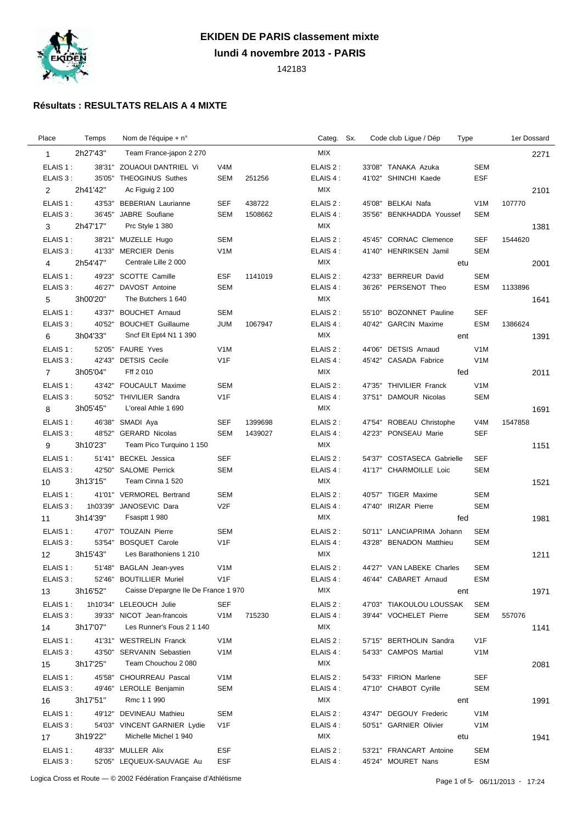

## **EKIDEN DE PARIS classement mixte**

**lundi 4 novembre 2013 - PARIS**

142183

## **Résultats : RESULTATS RELAIS A 4 MIXTE**

| Place          | Temps    | Nom de l'équipe + n°                |                   |         | Categ. Sx. |  | Code club Ligue / Dép                        | Type |                  | 1er Dossard |      |
|----------------|----------|-------------------------------------|-------------------|---------|------------|--|----------------------------------------------|------|------------------|-------------|------|
| $\mathbf{1}$   | 2h27'43" | Team France-japon 2 270             |                   |         | MIX        |  |                                              |      |                  |             | 2271 |
| ELAIS 1:       |          | 38'31" ZOUAOUI DANTRIEL Vi          | V4M               |         | ELAIS 2:   |  | 33'08" TANAKA Azuka                          |      | <b>SEM</b>       |             |      |
| ELAIS 3 :      | 35'05"   | THEOGINUS Suthes                    | <b>SEM</b>        | 251256  | ELAIS 4 :  |  | 41'02" SHINCHI Kaede                         |      | <b>ESF</b>       |             |      |
| $\overline{2}$ | 2h41'42" | Ac Figuig 2 100                     |                   |         | MIX        |  |                                              |      |                  |             | 2101 |
| ELAIS 1:       |          | 43'53" BEBERIAN Laurianne           | SEF               | 438722  | ELAIS 2:   |  | 45'08" BELKAI Nafa                           |      | V <sub>1</sub> M | 107770      |      |
| ELAIS 3:       | 36'45"   | JABRE Soufiane                      | <b>SEM</b>        | 1508662 | ELAIS 4 :  |  | 35'56" BENKHADDA Youssef                     |      | <b>SEM</b>       |             |      |
| 3              | 2h47'17" | Prc Style 1 380                     |                   |         | MIX        |  |                                              |      |                  |             | 1381 |
| ELAIS 1:       |          | 38'21" MUZELLE Hugo                 | <b>SEM</b>        |         | ELAIS 2 :  |  | 45'45" CORNAC Clemence                       |      | <b>SEF</b>       | 1544620     |      |
| ELAIS 3:       |          | 41'33" MERCIER Denis                | V <sub>1</sub> M  |         | ELAIS 4 :  |  | 41'40" HENRIKSEN Jamil                       |      | <b>SEM</b>       |             |      |
| 4              | 2h54'47" | Centrale Lille 2 000                |                   |         | MIX        |  |                                              | etu  |                  |             | 2001 |
| ELAIS 1:       | 49'23"   | SCOTTE Camille                      |                   |         | ELAIS 2:   |  |                                              |      | <b>SEM</b>       |             |      |
| ELAIS 3:       | 46'27"   | DAVOST Antoine                      | ESF<br><b>SEM</b> | 1141019 | ELAIS 4 :  |  | 42'33" BERREUR David<br>36'26" PERSENOT Theo |      | <b>ESM</b>       | 1133896     |      |
|                | 3h00'20" | The Butchers 1 640                  |                   |         | MIX        |  |                                              |      |                  |             |      |
| 5              |          |                                     |                   |         |            |  |                                              |      |                  |             | 1641 |
| ELAIS 1:       | 43'37"   | <b>BOUCHET Arnaud</b>               | <b>SEM</b>        |         | ELAIS 2:   |  | 55'10" BOZONNET Pauline                      |      | <b>SEF</b>       |             |      |
| ELAIS 3:       | 40'52"   | <b>BOUCHET Guillaume</b>            | <b>JUM</b>        | 1067947 | ELAIS 4:   |  | 40'42" GARCIN Maxime                         |      | <b>ESM</b>       | 1386624     |      |
| 6              | 3h04'33" | Sncf Elt Ept4 N1 1 390              |                   |         | MIX        |  |                                              | ent  |                  |             | 1391 |
| ELAIS 1:       |          | 52'05" FAURE Yves                   | V <sub>1</sub> M  |         | ELAIS 2:   |  | 44'06" DETSIS Arnaud                         |      | V <sub>1</sub> M |             |      |
| ELAIS 3:       | 42'43"   | <b>DETSIS Cecile</b>                | V <sub>1</sub> F  |         | ELAIS 4 :  |  | 45'42" CASADA Fabrice                        |      | V <sub>1</sub> M |             |      |
| 7              | 3h05'04" | Fff 2 010                           |                   |         | MIX        |  |                                              | fed  |                  |             | 2011 |
| ELAIS 1:       |          | 43'42" FOUCAULT Maxime              | <b>SEM</b>        |         | ELAIS 2:   |  | 47'35" THIVILIER Franck                      |      | V <sub>1</sub> M |             |      |
| ELAIS 3:       |          | 50'52" THIVILIER Sandra             | V <sub>1F</sub>   |         | ELAIS 4 :  |  | 37'51" DAMOUR Nicolas                        |      | <b>SEM</b>       |             |      |
| 8              | 3h05'45" | L'oreal Athle 1 690                 |                   |         | <b>MIX</b> |  |                                              |      |                  |             | 1691 |
| ELAIS 1:       | 46'38"   | SMADI Aya                           | <b>SEF</b>        | 1399698 | ELAIS 2 :  |  | 47'54" ROBEAU Christophe                     |      | V <sub>4</sub> M | 1547858     |      |
| ELAIS 3:       |          | 48'52" GERARD Nicolas               | <b>SEM</b>        | 1439027 | ELAIS 4 :  |  | 42'23" PONSEAU Marie                         |      | <b>SEF</b>       |             |      |
| 9              | 3h10'23" | Team Pico Turquino 1 150            |                   |         | MIX        |  |                                              |      |                  |             | 1151 |
| ELAIS 1:       |          | 51'41" BECKEL Jessica               | <b>SEF</b>        |         | ELAIS 2:   |  | 54'37" COSTASECA Gabrielle                   |      | SEF              |             |      |
| ELAIS 3:       | 42'50"   | <b>SALOME Perrick</b>               | <b>SEM</b>        |         | ELAIS 4 :  |  | 41'17" CHARMOILLE Loic                       |      | <b>SEM</b>       |             |      |
| 10             | 3h13'15" | Team Cinna 1 520                    |                   |         | MIX        |  |                                              |      |                  |             | 1521 |
| ELAIS 1:       |          | 41'01" VERMOREL Bertrand            | <b>SEM</b>        |         | ELAIS 2:   |  | 40'57" TIGER Maxime                          |      | <b>SEM</b>       |             |      |
| ELAIS 3:       | 1h03'39" | JANOSEVIC Dara                      | V2F               |         | ELAIS 4:   |  | 47'40" IRIZAR Pierre                         |      | <b>SEM</b>       |             |      |
| 11             | 3h14'39" | Fsasptt 1 980                       |                   |         | MIX        |  |                                              | fed  |                  |             | 1981 |
| ELAIS 1:       | 47'07"   | <b>TOUZAIN Pierre</b>               | <b>SEM</b>        |         | ELAIS 2:   |  | 50'11" LANCIAPRIMA Johann                    |      | <b>SEM</b>       |             |      |
| ELAIS 3:       | 53'54"   | <b>BOSQUET Carole</b>               | V <sub>1</sub> F  |         | ELAIS 4 :  |  | 43'28" BENADON Matthieu                      |      | <b>SEM</b>       |             |      |
| 12             | 3h15'43" | Les Barathoniens 1 210              |                   |         | MIX        |  |                                              |      |                  |             | 1211 |
| ELAIS 1:       |          | 51'48" BAGLAN Jean-yves             | V <sub>1</sub> M  |         | ELAIS 2:   |  | 44'27" VAN LABEKE Charles                    |      | <b>SEM</b>       |             |      |
| ELAIS 3:       |          | 52'46" BOUTILLIER Muriel            | V <sub>1</sub> F  |         | ELAIS 4 :  |  | 46'44" CABARET Arnaud                        |      | <b>ESM</b>       |             |      |
| 13             | 3h16'52" | Caisse D'epargne lle De France 1970 |                   |         | <b>MIX</b> |  |                                              | ent  |                  |             | 1971 |
| ELAIS 1:       |          | 1h10'34" LELEOUCH Julie             | <b>SEF</b>        |         | ELAIS 2:   |  | 47'03" TIAKOULOU LOUSSAK                     |      | <b>SEM</b>       |             |      |
| ELAIS 3:       |          | 39'33" NICOT Jean-francois          | V <sub>1</sub> M  | 715230  | ELAIS 4 :  |  | 39'44" VOCHELET Pierre                       |      | SEM              | 557076      |      |
| 14             | 3h17'07" | Les Runner's Fous 2 1 140           |                   |         | MIX        |  |                                              |      |                  |             | 1141 |
| ELAIS 1:       |          | 41'31" WESTRELIN Franck             | V <sub>1</sub> M  |         | ELAIS 2:   |  | 57'15" BERTHOLIN Sandra                      |      | V <sub>1</sub> F |             |      |
| ELAIS 3:       | 43'50"   | <b>SERVANIN Sebastien</b>           | V <sub>1</sub> M  |         | ELAIS 4 :  |  | 54'33" CAMPOS Martial                        |      | V <sub>1</sub> M |             |      |
|                | 3h17'25" | Team Chouchou 2 080                 |                   |         | MIX        |  |                                              |      |                  |             |      |
| 15             |          |                                     |                   |         |            |  |                                              |      |                  |             | 2081 |
| ELAIS 1:       | 45'58"   | CHOURREAU Pascal                    | V <sub>1</sub> M  |         | ELAIS 2 :  |  | 54'33" FIRION Marlene                        |      | <b>SEF</b>       |             |      |
| ELAIS 3:       | 49'46"   | LEROLLE Benjamin                    | <b>SEM</b>        |         | ELAIS 4 :  |  | 47'10" CHABOT Cyrille                        |      | <b>SEM</b>       |             |      |
| 16             | 3h17'51" | Rmc 1 1 990                         |                   |         | MIX        |  |                                              | ent  |                  |             | 1991 |
| ELAIS 1:       |          | 49'12" DEVINEAU Mathieu             | <b>SEM</b>        |         | ELAIS 2 :  |  | 43'47" DEGOUY Frederic                       |      | V <sub>1</sub> M |             |      |
| ELAIS 3:       |          | 54'03" VINCENT GARNIER Lydie        | V <sub>1</sub> F  |         | ELAIS 4 :  |  | 50'51" GARNIER Olivier                       |      | V <sub>1</sub> M |             |      |
| 17             | 3h19'22" | Michelle Michel 1 940               |                   |         | MIX        |  |                                              | etu  |                  |             | 1941 |
| ELAIS 1:       |          | 48'33" MULLER Alix                  | ESF               |         | ELAIS 2 :  |  | 53'21" FRANCART Antoine                      |      | <b>SEM</b>       |             |      |
| ELAIS 3:       |          | 52'05" LEQUEUX-SAUVAGE Au           | ESF               |         | ELAIS 4 :  |  | 45'24" MOURET Nans                           |      | <b>ESM</b>       |             |      |
|                |          |                                     |                   |         |            |  |                                              |      |                  |             |      |

Logica Cross et Route — © 2002 Fédération Française d'Athlétisme<br>
Page 1 of 5- 06/11/2013 - 17:24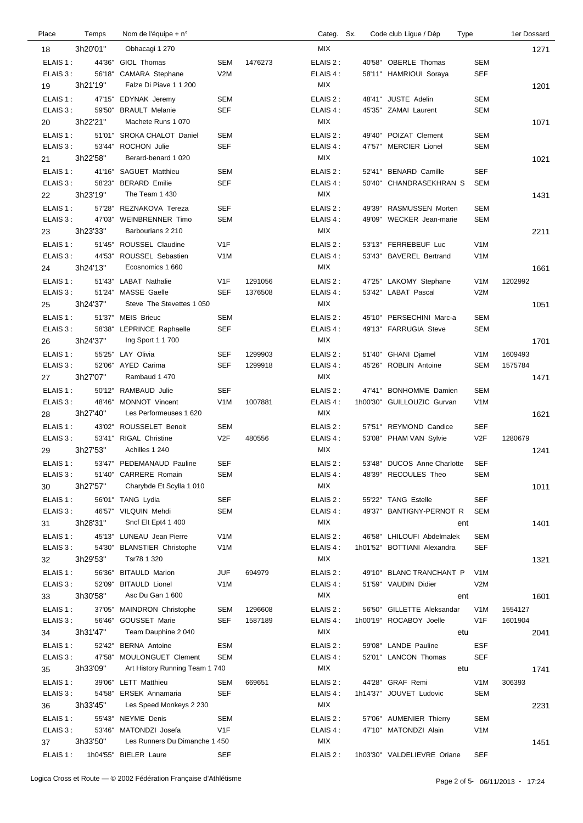| Place                | Temps    | Nom de l'équipe + n°                     |                          |         | Categ. Sx.             |        | Code club Lique / Dép                             | Type |                             | 1er Dossard |
|----------------------|----------|------------------------------------------|--------------------------|---------|------------------------|--------|---------------------------------------------------|------|-----------------------------|-------------|
| 18                   | 3h20'01" | Obhacagi 1 270                           |                          |         | <b>MIX</b>             |        |                                                   |      |                             | 1271        |
| ELAIS 1:             | 44'36"   | GIOL Thomas                              | <b>SEM</b>               | 1476273 | ELAIS 2:               |        | 40'58" OBERLE Thomas                              |      | <b>SEM</b>                  |             |
| ELAIS 3:             | 56'18"   | CAMARA Stephane                          | V2M                      |         | ELAIS 4 :              |        | 58'11" HAMRIOUI Soraya                            |      | <b>SEF</b>                  |             |
| 19                   | 3h21'19" | Falze Di Piave 1 1 200                   |                          |         | MIX                    |        |                                                   |      |                             | 1201        |
| ELAIS 1:             | 47'15"   | EDYNAK Jeremy                            | SEM                      |         | ELAIS 2:               |        | 48'41" JUSTE Adelin                               |      | <b>SEM</b>                  |             |
| ELAIS 3:             | 59'50"   | <b>BRAULT Melanie</b>                    | <b>SEF</b>               |         | ELAIS 4 :              | 45'35" | <b>ZAMAI Laurent</b>                              |      | <b>SEM</b>                  |             |
| 20                   | 3h22'21" | Machete Runs 1 070                       |                          |         | MIX                    |        |                                                   |      |                             | 1071        |
| ELAIS 1:             | 51'01"   | <b>SROKA CHALOT Daniel</b>               | <b>SEM</b>               |         | ELAIS 2:               |        | 49'40" POIZAT Clement                             |      | <b>SEM</b>                  |             |
| ELAIS 3:             |          | 53'44" ROCHON Julie                      | <b>SEF</b>               |         | ELAIS 4 :              |        | 47'57" MERCIER Lionel                             |      | <b>SEM</b>                  |             |
| 21                   | 3h22'58" | Berard-benard 1 020                      |                          |         | MIX                    |        |                                                   |      |                             | 1021        |
| ELAIS 1:             | 41'16"   | <b>SAGUET Matthieu</b>                   | <b>SEM</b>               |         | ELAIS 2 :              |        | 52'41" BENARD Camille                             |      | <b>SEF</b>                  |             |
| ELAIS 3:             |          | 58'23" BERARD Emilie                     | <b>SEF</b>               |         | ELAIS 4 :              |        | 50'40" CHANDRASEKHRAN S                           |      | SEM                         |             |
| 22                   | 3h23'19" | The Team 1 430                           |                          |         | <b>MIX</b>             |        |                                                   |      |                             | 1431        |
| ELAIS 1:             | 57'28"   | REZNAKOVA Tereza                         | <b>SEF</b>               |         | ELAIS 2:               | 49'39" | RASMUSSEN Morten                                  |      | <b>SEM</b>                  |             |
| ELAIS 3:             | 47'03"   | <b>WEINBRENNER Timo</b>                  | <b>SEM</b>               |         | ELAIS 4 :              |        | 49'09" WECKER Jean-marie                          |      | <b>SEM</b>                  |             |
| 23                   | 3h23'33" | Barbourians 2 210                        |                          |         | <b>MIX</b>             |        |                                                   |      |                             | 2211        |
| ELAIS 1:             | 51'45"   | ROUSSEL Claudine                         | V <sub>1</sub> F         |         | ELAIS 2:               |        | 53'13" FERREBEUF Luc                              |      | V <sub>1</sub> M            |             |
| ELAIS 3:             | 44'53"   | ROUSSEL Sebastien                        | V <sub>1</sub> M         |         | ELAIS 4 :              |        | 53'43" BAVEREL Bertrand                           |      | V <sub>1</sub> M            |             |
| 24                   | 3h24'13" | Ecosnomics 1 660                         |                          |         | MIX                    |        |                                                   |      |                             | 1661        |
| ELAIS 1:             | 51'43"   | <b>LABAT Nathalie</b>                    | V <sub>1</sub> F         | 1291056 | ELAIS 2:               | 47'25" | <b>LAKOMY Stephane</b>                            |      | V <sub>1</sub> M<br>1202992 |             |
| ELAIS 3:             | 51'24"   | MASSE Gaelle                             | <b>SEF</b>               | 1376508 | ELAIS 4 :              |        | 53'42" LABAT Pascal                               |      | V2M                         |             |
| 25                   | 3h24'37" | Steve The Stevettes 1 050                |                          |         | MIX                    |        |                                                   |      |                             | 1051        |
|                      |          |                                          |                          |         |                        |        |                                                   |      |                             |             |
| ELAIS 1:<br>ELAIS 3: | 58'38"   | 51'37" MEIS Brieuc<br>LEPRINCE Raphaelle | <b>SEM</b><br><b>SEF</b> |         | ELAIS 2 :<br>ELAIS 4 : |        | 45'10" PERSECHINI Marc-a<br>49'13" FARRUGIA Steve |      | <b>SEM</b><br><b>SEM</b>    |             |
|                      | 3h24'37" | Ing Sport 1 1 700                        |                          |         | MIX                    |        |                                                   |      |                             |             |
| 26                   |          |                                          |                          |         |                        |        |                                                   |      |                             | 1701        |
| ELAIS 1:             |          | 55'25" LAY Olivia                        | <b>SEF</b>               | 1299903 | ELAIS 2:               |        | 51'40" GHANI Djamel                               |      | 1609493<br>V <sub>1</sub> M |             |
| ELAIS 3:             |          | 52'06" AYED Carima                       | <b>SEF</b>               | 1299918 | ELAIS 4:<br><b>MIX</b> | 45'26" | ROBLIN Antoine                                    |      | <b>SEM</b><br>1575784       |             |
|                      | 3h27'07" | Rambaud 1 470                            |                          |         |                        |        |                                                   |      |                             | 1471        |
| ELAIS 1:             |          | 50'12" RAMBAUD Julie                     | <b>SEF</b>               |         | ELAIS 2:               | 47'41" | <b>BONHOMME</b> Damien                            |      | <b>SEM</b>                  |             |
| ELAIS 3:             |          | 48'46" MONNOT Vincent                    | V <sub>1</sub> M         | 1007881 | ELAIS 4 :              |        | 1h00'30" GUILLOUZIC Gurvan                        |      | V <sub>1</sub> M            |             |
| 28                   | 3h27'40" | Les Performeuses 1 620                   |                          |         | MIX                    |        |                                                   |      |                             | 1621        |
| ELAIS 1:             | 43'02"   | ROUSSELET Benoit                         | <b>SEM</b>               |         | ELAIS 2:               |        | 57'51" REYMOND Candice                            |      | <b>SEF</b>                  |             |
| ELAIS 3:             |          | 53'41" RIGAL Christine                   | V <sub>2</sub> F         | 480556  | ELAIS 4 :              |        | 53'08" PHAM VAN Sylvie                            |      | V2F<br>1280679              |             |
|                      | 3h27'53" | Achilles 1 240                           |                          |         | MIX                    |        |                                                   |      |                             | 1241        |
| ELAIS 1:             |          | 53'47" PEDEMANAUD Pauline                | <b>SEF</b>               |         | ELAIS 2:               |        | 53'48" DUCOS Anne Charlotte                       |      | SEF                         |             |
| ELAIS 3:             |          | 51'40" CARRERE Romain                    | SEM                      |         | ELAIS 4 :              |        | 48'39" RECOULES Theo                              |      | <b>SEM</b>                  |             |
|                      | 3h27'57" | Charybde Et Scylla 1 010                 |                          |         | МIХ                    |        |                                                   |      |                             | 1011        |
| ELAIS 1:             |          | 56'01" TANG Lydia                        | <b>SEF</b>               |         | ELAIS 2:               |        | 55'22" TANG Estelle                               |      | <b>SEF</b>                  |             |
| ELAIS 3:             |          | 46'57" VILQUIN Mehdi                     | SEM                      |         | ELAIS 4:               |        | 49'37" BANTIGNY-PERNOT R                          |      | <b>SEM</b>                  |             |
| 31                   | 3h28'31" | Sncf Elt Ept4 1 400                      |                          |         | MIX                    |        |                                                   | ent  |                             | 1401        |
| ELAIS 1:             |          | 45'13" LUNEAU Jean Pierre                | V <sub>1</sub> M         |         | ELAIS 2:               |        | 46'58" LHILOUFI Abdelmalek                        |      | <b>SEM</b>                  |             |
| ELAIS 3:             |          | 54'30" BLANSTIER Christophe              | V <sub>1</sub> M         |         | ELAIS 4:               |        | 1h01'52" BOTTIANI Alexandra                       |      | <b>SEF</b>                  |             |
|                      | 3h29'53" | Tsr78 1 320                              |                          |         | <b>MIX</b>             |        |                                                   |      |                             | 1321        |
| ELAIS 1:             | 56'36"   | <b>BITAULD Marion</b>                    | <b>JUF</b>               | 694979  | ELAIS 2:               |        | 49'10" BLANC TRANCHANT P                          |      | V <sub>1</sub> M            |             |
| ELAIS 3:             | 52'09"   | <b>BITAULD Lionel</b>                    | V <sub>1</sub> M         |         | ELAIS 4 :              |        | 51'59" VAUDIN Didier                              |      | V2M                         |             |
| 33                   | 3h30'58" | Asc Du Gan 1 600                         |                          |         | MIX                    |        |                                                   | ent  |                             | 1601        |
| ELAIS 1:             |          | 37'05" MAINDRON Christophe               | <b>SEM</b>               | 1296608 | ELAIS 2:               |        | 56'50" GILLETTE Aleksandar                        |      | V <sub>1</sub> M<br>1554127 |             |
| ELAIS 3:             |          | 56'46" GOUSSET Marie                     | SEF                      | 1587189 | ELAIS 4 :              |        | 1h00'19" ROCABOY Joelle                           |      | V <sub>1</sub> F<br>1601904 |             |
|                      | 3h31'47" | Team Dauphine 2 040                      |                          |         | MIX                    |        |                                                   | etu  |                             | 2041        |
| ELAIS 1:             |          | 52'42" BERNA Antoine                     | <b>ESM</b>               |         | ELAIS 2:               |        | 59'08" LANDE Pauline                              |      | <b>ESF</b>                  |             |
| ELAIS 3:             |          | 47'58" MOULONGUET Clement                | <b>SEM</b>               |         | ELAIS 4 :              |        | 52'01" LANCON Thomas                              |      | <b>SEF</b>                  |             |
|                      | 3h33'09" | Art History Running Team 1740            |                          |         | MIX                    |        |                                                   | etu  |                             | 1741        |
| ELAIS 1:             |          | 39'06" LETT Matthieu                     | <b>SEM</b>               | 669651  | ELAIS 2 :              |        | 44'28" GRAF Remi                                  |      | V <sub>1</sub> M<br>306393  |             |
| ELAIS 3:             |          | 54'58" ERSEK Annamaria                   | <b>SEF</b>               |         | ELAIS 4 :              |        | 1h14'37" JOUVET Ludovic                           |      | <b>SEM</b>                  |             |
|                      | 3h33'45" | Les Speed Monkeys 2 230                  |                          |         | <b>MIX</b>             |        |                                                   |      |                             | 2231        |
| 36<br>ELAIS 1:       |          | 55'43" NEYME Denis                       | <b>SEM</b>               |         |                        |        | 57'06" AUMENIER Thierry                           |      | <b>SEM</b>                  |             |
| ELAIS 3:             |          | 53'46" MATONDZI Josefa                   | V <sub>1F</sub>          |         | ELAIS 2 :<br>ELAIS 4 : |        | 47'10" MATONDZI Alain                             |      | V <sub>1</sub> M            |             |
|                      | 3h33'50" | Les Runners Du Dimanche 1 450            |                          |         | <b>MIX</b>             |        |                                                   |      |                             |             |
| 37                   |          |                                          |                          |         |                        |        |                                                   |      |                             | 1451        |
| ELAIS 1 :            |          | 1h04'55" BIELER Laure                    | <b>SEF</b>               |         | ELAIS 2 :              |        | 1h03'30" VALDELIEVRE Oriane                       |      | <b>SEF</b>                  |             |
|                      |          |                                          |                          |         |                        |        |                                                   |      |                             |             |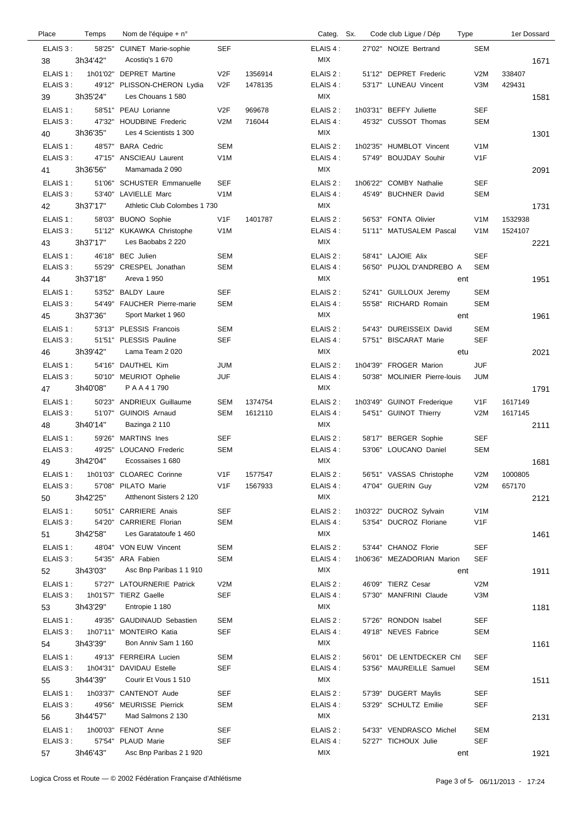| Place          | Temps            | Nom de l'équipe + n°                                 |                  |         | Categ. Sx.              |        | Code club Ligue / Dép        | Type              |         | 1er Dossard |
|----------------|------------------|------------------------------------------------------|------------------|---------|-------------------------|--------|------------------------------|-------------------|---------|-------------|
| ELAIS 3:<br>38 | 3h34'42"         | 58'25" CUINET Marie-sophie<br>Acostig's 1 670        | <b>SEF</b>       |         | ELAIS 4:<br><b>MIX</b>  |        | 27'02" NOIZE Bertrand        | <b>SEM</b>        |         | 1671        |
| ELAIS 1:       |                  | 1h01'02" DEPRET Martine                              | V <sub>2</sub> F | 1356914 | ELAIS 2:                |        | 51'12" DEPRET Frederic       | V2M               | 338407  |             |
| ELAIS 3:<br>39 | 3h35'24"         | 49'12" PLISSON-CHERON Lydia<br>Les Chouans 1 580     | V2F              | 1478135 | ELAIS 4 :<br>MIX        |        | 53'17" LUNEAU Vincent        | V3M               | 429431  | 1581        |
| ELAIS 1:       |                  | 58'51" PEAU Lorianne                                 | V2F              | 969678  | ELAIS 2:                |        | 1h03'31" BEFFY Juliette      | <b>SEF</b>        |         |             |
| ELAIS 3:       | 47'32"           | <b>HOUDBINE Frederic</b>                             | V2M              | 716044  | ELAIS 4 :               |        | 45'32" CUSSOT Thomas         | <b>SEM</b>        |         |             |
| 40<br>ELAIS 1: | 3h36'35"         | Les 4 Scientists 1 300<br><b>BARA Cedric</b>         | <b>SEM</b>       |         | <b>MIX</b><br>ELAIS 2:  |        | 1h02'35" HUMBLOT Vincent     | V <sub>1</sub> M  |         | 1301        |
| ELAIS 3:       | 48'57"<br>47'15" | <b>ANSCIEAU Laurent</b>                              | V <sub>1</sub> M |         | ELAIS 4 :               | 57'49" | <b>BOUJDAY Souhir</b>        | V <sub>1</sub> F  |         |             |
| 41             | 3h36'56"         | Mamamada 2090                                        |                  |         | MIX                     |        |                              |                   |         | 2091        |
| ELAIS 1:       |                  | 51'06" SCHUSTER Emmanuelle                           | <b>SEF</b>       |         | ELAIS 2:                |        | 1h06'22" COMBY Nathalie      | <b>SEF</b>        |         |             |
| ELAIS 3:       | 3h37'17"         | 53'40" LAVIELLE Marc<br>Athletic Club Colombes 1 730 | V <sub>1</sub> M |         | ELAIS 4 :<br>MIX        |        | 45'49" BUCHNER David         | <b>SEM</b>        |         |             |
| 42<br>ELAIS 1: |                  | 58'03" BUONO Sophie                                  | V1F              | 1401787 | ELAIS 2:                |        | 56'53" FONTA Olivier         | V <sub>1</sub> M  | 1532938 | 1731        |
| ELAIS 3:       |                  | 51'12" KUKAWKA Christophe                            | V <sub>1</sub> M |         | ELAIS 4:                |        | 51'11" MATUSALEM Pascal      | V <sub>1</sub> M  | 1524107 |             |
| 43             | 3h37'17"         | Les Baobabs 2 220                                    |                  |         | <b>MIX</b>              |        |                              |                   |         | 2221        |
| ELAIS 1:       | 46'18"           | <b>BEC</b> Julien                                    | <b>SEM</b>       |         | ELAIS 2:                |        | 58'41" LAJOIE Alix           | <b>SEF</b>        |         |             |
| ELAIS 3:       | 55'29"           | CRESPEL Jonathan<br>Areva 1 950                      | SEM              |         | ELAIS 4 :<br>MIX        |        | 56'50" PUJOL D'ANDREBO A     | <b>SEM</b>        |         |             |
| 44<br>ELAIS 1: | 3h37'18"         | 53'52" BALDY Laure                                   | <b>SEF</b>       |         | ELAIS 2:                |        | 52'41" GUILLOUX Jeremy       | ent<br><b>SEM</b> |         | 1951        |
| ELAIS 3:       | 54'49"           | <b>FAUCHER Pierre-marie</b>                          | <b>SEM</b>       |         | ELAIS 4 :               | 55'58" | RICHARD Romain               | <b>SEM</b>        |         |             |
| 45             | 3h37'36"         | Sport Market 1 960                                   |                  |         | <b>MIX</b>              |        |                              | ent               |         | 1961        |
| ELAIS 1:       |                  | 53'13" PLESSIS Francois                              | <b>SEM</b>       |         | ELAIS 2:                | 54'43" | <b>DUREISSEIX David</b>      | <b>SEM</b>        |         |             |
| ELAIS 3:       |                  | 51'51" PLESSIS Pauline<br>Lama Team 2020             | <b>SEF</b>       |         | ELAIS 4 :<br>MIX        |        | 57'51" BISCARAT Marie        | <b>SEF</b>        |         |             |
| 46<br>ELAIS 1: | 3h39'42"         | 54'16" DAUTHEL Kim                                   | <b>JUM</b>       |         | ELAIS 2:                |        | 1h04'39" FROGER Marion       | etu<br><b>JUF</b> |         | 2021        |
| ELAIS 3:       |                  | 50'10" MEURIOT Ophelie                               | <b>JUF</b>       |         | ELAIS 4 :               |        | 50'38" MOLINIER Pierre-louis | <b>JUM</b>        |         |             |
| 47             | 3h40'08"         | <b>PAA41790</b>                                      |                  |         | <b>MIX</b>              |        |                              |                   |         | 1791        |
| ELAIS 1:       | 50'23"           | <b>ANDRIEUX Guillaume</b>                            | <b>SEM</b>       | 1374754 | ELAIS 2:                |        | 1h03'49" GUINOT Frederique   | V1F               | 1617149 |             |
| ELAIS 3:       | 3h40'14"         | 51'07" GUINOIS Arnaud<br>Bazinga 2 110               | <b>SEM</b>       | 1612110 | ELAIS 4 :<br><b>MIX</b> |        | 54'51" GUINOT Thierry        | V2M               | 1617145 |             |
| 48<br>ELAIS 1: | 59'26"           | <b>MARTINS</b> Ines                                  | <b>SEF</b>       |         | ELAIS 2:                |        | 58'17" BERGER Sophie         | SEF               |         | 2111        |
| ELAIS 3:       | 49'25"           | LOUCANO Frederic                                     | <b>SEM</b>       |         | ELAIS 4:                |        | 53'06" LOUCANO Daniel        | <b>SEM</b>        |         |             |
| 49             | 3h42'04"         | Ecossaises 1 680                                     |                  |         | <b>MIX</b>              |        |                              |                   |         | 1681        |
| ELAIS 1 :      |                  | 1h01'03" CLOAREC Corinne                             | V <sub>1</sub> F | 1577547 | ELAIS 2 :               |        | 56'51" VASSAS Christophe     | V2M               | 1000805 |             |
| ELAIS 3:<br>50 | 3h42'25"         | 57'08" PILATO Marie<br>Atthenont Sisters 2 120       | V <sub>1</sub> F | 1567933 | ELAIS 4 :<br>MIX        |        | 47'04" GUERIN Guy            | V2M               | 657170  | 2121        |
| ELAIS 1:       |                  | 50'51" CARRIERE Anais                                | <b>SEF</b>       |         | ELAIS 2:                |        | 1h03'22" DUCROZ Sylvain      | V <sub>1</sub> M  |         |             |
| ELAIS 3:       |                  | 54'20" CARRIERE Florian                              | SEM              |         | ELAIS 4 :               |        | 53'54" DUCROZ Floriane       | V <sub>1</sub> F  |         |             |
| 51             | 3h42'58"         | Les Garatatoufe 1 460                                |                  |         | MIX                     |        |                              |                   |         | 1461        |
| ELAIS 1:       |                  | 48'04" VON EUW Vincent                               | SEM              |         | ELAIS 2:                |        | 53'44" CHANOZ Florie         | <b>SEF</b>        |         |             |
| ELAIS 3:<br>52 | 3h43'03"         | 54'35" ARA Fabien<br>Asc Bnp Paribas 1 1 910         | SEM              |         | ELAIS 4 :<br>MIX        |        | 1h06'36" MEZADORIAN Marion   | SEF<br>ent        |         | 1911        |
| ELAIS 1:       |                  | 57'27" LATOURNERIE Patrick                           | V2M              |         | ELAIS 2 :               |        | 46'09" TIERZ Cesar           | V2M               |         |             |
| ELAIS 3:       |                  | 1h01'57" TIERZ Gaelle                                | <b>SEF</b>       |         | ELAIS 4 :               |        | 57'30" MANFRINI Claude       | V3M               |         |             |
| 53             | 3h43'29"         | Entropie 1 180                                       |                  |         | MIX                     |        |                              |                   |         | 1181        |
| ELAIS 1:       |                  | 49'35" GAUDINAUD Sebastien                           | SEM              |         | ELAIS 2 :               |        | 57'26" RONDON Isabel         | <b>SEF</b>        |         |             |
| ELAIS 3:<br>54 | 3h43'39"         | 1h07'11" MONTEIRO Katia<br>Bon Anniv Sam 1 160       | <b>SEF</b>       |         | ELAIS 4 :<br>MIX        |        | 49'18" NEVES Fabrice         | <b>SEM</b>        |         | 1161        |
| ELAIS 1:       |                  | 49'13" FERREIRA Lucien                               | SEM              |         | ELAIS 2:                |        | 56'01" DE LENTDECKER Chl     | <b>SEF</b>        |         |             |
| ELAIS 3:       |                  | 1h04'31" DAVIDAU Estelle                             | <b>SEF</b>       |         | ELAIS 4 :               |        | 53'56" MAUREILLE Samuel      | <b>SEM</b>        |         |             |
| 55             | 3h44'39"         | Courir Et Vous 1 510                                 |                  |         | MIX                     |        |                              |                   |         | 1511        |
| ELAIS 1:       |                  | 1h03'37" CANTENOT Aude                               | <b>SEF</b>       |         | ELAIS 2 :               |        | 57'39" DUGERT Maylis         | <b>SEF</b>        |         |             |
| ELAIS 3:<br>56 | 3h44'57"         | 49'56" MEURISSE Pierrick<br>Mad Salmons 2 130        | SEM              |         | ELAIS 4 :<br>MIX        |        | 53'29" SCHULTZ Emilie        | SEF               |         | 2131        |
| ELAIS 1:       |                  | 1h00'03" FENOT Anne                                  | <b>SEF</b>       |         | ELAIS 2 :               |        | 54'33" VENDRASCO Michel      | <b>SEM</b>        |         |             |
| ELAIS 3:       |                  | 57'54" PLAUD Marie                                   | <b>SEF</b>       |         | ELAIS 4 :               |        | 52'27" TICHOUX Julie         | <b>SEF</b>        |         |             |
| 57             | 3h46'43"         | Asc Bnp Paribas 2 1 920                              |                  |         | MIX                     |        |                              | ent               |         | 1921        |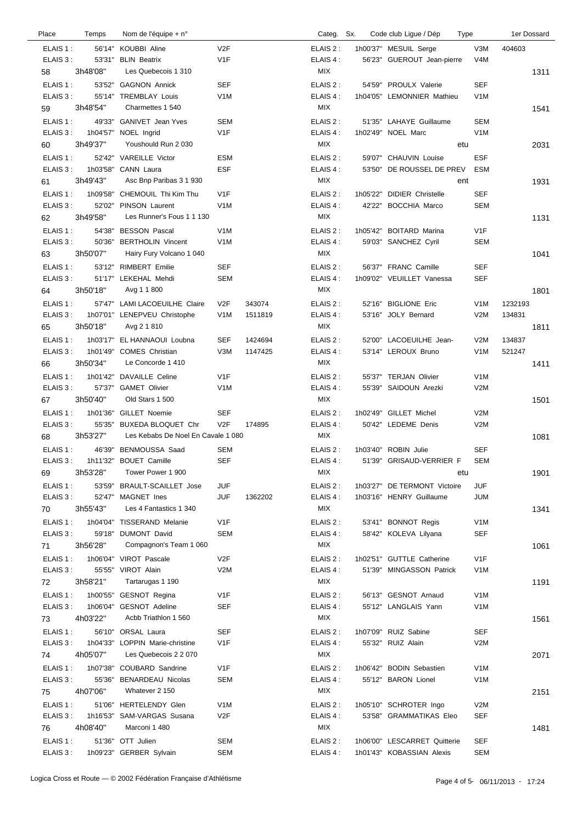| Place     | Temps    | Nom de l'équipe + n°               |                  |         | Categ. Sx. |          | Code club Ligue / Dép        | Type             | 1er Dossard |
|-----------|----------|------------------------------------|------------------|---------|------------|----------|------------------------------|------------------|-------------|
| ELAIS 1:  |          | 56'14" KOUBBI Aline                | V <sub>2F</sub>  |         | ELAIS 2:   |          | 1h00'37" MESUIL Serge        | V3M              | 404603      |
| ELAIS 3:  |          | 53'31" BLIN Beatrix                | V1F              |         | ELAIS 4 :  |          | 56'23" GUEROUT Jean-pierre   | V <sub>4</sub> M |             |
| 58        | 3h48'08" | Les Quebecois 1 310                |                  |         | MIX        |          |                              |                  | 1311        |
| ELAIS 1:  | 53'52"   | <b>GAGNON Annick</b>               | <b>SEF</b>       |         | ELAIS 2:   |          | 54'59" PROULX Valerie        | <b>SEF</b>       |             |
| ELAIS 3:  |          | 55'14" TREMBLAY Louis              | V <sub>1</sub> M |         | ELAIS 4 :  |          | 1h04'05" LEMONNIER Mathieu   | V <sub>1</sub> M |             |
| 59        | 3h48'54" | Charmettes 1 540                   |                  |         | MIX        |          |                              |                  | 1541        |
| ELAIS 1:  | 49'33"   | <b>GANIVET</b> Jean Yves           | <b>SEM</b>       |         | ELAIS 2:   |          | 51'35" LAHAYE Guillaume      | <b>SEM</b>       |             |
| ELAIS 3:  |          | 1h04'57" NOEL Ingrid               | V <sub>1</sub> F |         | ELAIS 4:   |          | 1h02'49" NOEL Marc           | V <sub>1</sub> M |             |
| 60        | 3h49'37" | Youshould Run 2030                 |                  |         | MIX        |          |                              | etu              | 2031        |
| ELAIS 1:  |          | 52'42" VAREILLE Victor             | <b>ESM</b>       |         | ELAIS 2:   |          | 59'07" CHAUVIN Louise        | <b>ESF</b>       |             |
| ELAIS 3:  | 1h03'58" | CANN Laura                         | <b>ESF</b>       |         | ELAIS 4 :  |          | 53'50" DE ROUSSEL DE PREV    | ESM              |             |
| 61        | 3h49'43" | Asc Bnp Paribas 3 1 930            |                  |         | MIX        |          |                              | ent              | 1931        |
| ELAIS 1:  | 1h09'58" | CHEMOUIL Thi Kim Thu               | V1F              |         | ELAIS 2:   | 1h05'22" | <b>DIDIER Christelle</b>     | <b>SEF</b>       |             |
| ELAIS 3:  | 52'02"   | PINSON Laurent                     | V <sub>1</sub> M |         | ELAIS 4 :  |          | 42'22" BOCCHIA Marco         | <b>SEM</b>       |             |
| 62        | 3h49'58" | Les Runner's Fous 1 1 130          |                  |         | MIX        |          |                              |                  | 1131        |
| ELAIS 1:  |          | 54'38" BESSON Pascal               | V <sub>1</sub> M |         | ELAIS 2:   |          | 1h05'42" BOITARD Marina      | V <sub>1</sub> F |             |
| ELAIS 3:  | 50'36"   | <b>BERTHOLIN Vincent</b>           | V <sub>1</sub> M |         | ELAIS 4 :  |          | 59'03" SANCHEZ Cyril         | <b>SEM</b>       |             |
| 63        | 3h50'07" | Hairy Fury Volcano 1 040           |                  |         | <b>MIX</b> |          |                              |                  | 1041        |
| ELAIS 1:  |          | 53'12" RIMBERT Emilie              | <b>SEF</b>       |         | ELAIS 2:   |          | 56'37" FRANC Camille         | <b>SEF</b>       |             |
| ELAIS 3:  |          | 51'17" LEKEHAL Mehdi               | <b>SEM</b>       |         | ELAIS 4:   |          | 1h09'02" VEUILLET Vanessa    | <b>SEF</b>       |             |
| 64        | 3h50'18" | Avg 1 1 800                        |                  |         | <b>MIX</b> |          |                              |                  | 1801        |
| ELAIS 1:  |          | 57'47" LAMI LACOEUILHE Claire      | V2F              | 343074  | ELAIS 2:   |          | 52'16" BIGLIONE Eric         | V <sub>1</sub> M | 1232193     |
| ELAIS 3 : |          | 1h07'01" LENEPVEU Christophe       | V <sub>1</sub> M | 1511819 | ELAIS 4:   |          | 53'16" JOLY Bernard          | V2M              | 134831      |
| 65        | 3h50'18" | Avg 2 1 810                        |                  |         | MIX        |          |                              |                  | 1811        |
| ELAIS 1:  | 1h03'17" | EL HANNAOUI Loubna                 | <b>SEF</b>       | 1424694 | ELAIS 2:   |          | 52'00" LACOEUILHE Jean-      | V2M              | 134837      |
| ELAIS 3:  | 1h01'49" | <b>COMES</b> Christian             | V3M              | 1147425 | ELAIS 4 :  |          | 53'14" LEROUX Bruno          | V <sub>1</sub> M | 521247      |
| 66        | 3h50'34" | Le Concorde 1 410                  |                  |         | MIX        |          |                              |                  | 1411        |
| ELAIS 1:  |          | 1h01'42" DAVAILLE Celine           | V <sub>1</sub> F |         | ELAIS 2 :  |          | 55'37" TERJAN Olivier        | V <sub>1</sub> M |             |
| ELAIS 3:  |          | 57'37" GAMET Olivier               | V <sub>1</sub> M |         | ELAIS 4 :  |          | 55'39" SAIDOUN Arezki        | V2M              |             |
| 67        | 3h50'40" | Old Stars 1 500                    |                  |         | MIX        |          |                              |                  | 1501        |
| ELAIS 1:  | 1h01'36" | <b>GILLET Noemie</b>               | <b>SEF</b>       |         | ELAIS 2:   |          | 1h02'49" GILLET Michel       | V2M              |             |
| ELAIS 3:  |          | 55'35" BUXEDA BLOQUET Chr          | V2F              | 174895  | ELAIS 4:   |          | 50'42" LEDEME Denis          | V2M              |             |
| 68        | 3h53'27" | Les Kebabs De Noel En Cavale 1 080 |                  |         | <b>MIX</b> |          |                              |                  | 1081        |
| ELAIS 1:  | 46'39"   | BENMOUSSA Saad                     | <b>SEM</b>       |         | ELAIS 2:   |          | 1h03'40" ROBIN Julie         | <b>SEF</b>       |             |
| ELAIS 3:  |          | 1h11'32" BOUET Camille             | <b>SEF</b>       |         | ELAIS 4 :  |          | 51'39" GRISAUD-VERRIER F     | <b>SEM</b>       |             |
| 69        | 3h53'28" | Tower Power 1 900                  |                  |         | MIX        |          |                              | etu              | 1901        |
| ELAIS 1:  | 53'59"   | <b>BRAULT-SCAILLET Jose</b>        | JUF              |         | ELAIS 2:   |          | 1h03'27" DE TERMONT Victoire | <b>JUF</b>       |             |
| ELAIS 3:  | 52'47"   | MAGNET Ines                        | JUF              | 1362202 | ELAIS 4 :  |          | 1h03'16" HENRY Guillaume     | <b>JUM</b>       |             |
| 70        | 3h55'43" | Les 4 Fantastics 1 340             |                  |         | MIX        |          |                              |                  | 1341        |
| ELAIS 1:  |          | 1h04'04" TISSERAND Melanie         | V <sub>1</sub> F |         | ELAIS 2:   |          | 53'41" BONNOT Regis          | V <sub>1</sub> M |             |
| ELAIS 3:  | 59'18"   | <b>DUMONT David</b>                | <b>SEM</b>       |         | ELAIS 4 :  |          | 58'42" KOLEVA Lilyana        | <b>SEF</b>       |             |
| 71        | 3h56'28" | Compagnon's Team 1 060             |                  |         | MIX        |          |                              |                  | 1061        |
| ELAIS 1:  |          | 1h06'04" VIROT Pascale             | V2F              |         | ELAIS 2:   |          | 1h02'51" GUTTLE Catherine    | V1F              |             |
| ELAIS 3:  | 55'55"   | VIROT Alain                        | V2M              |         | ELAIS 4 :  |          | 51'39" MINGASSON Patrick     | V <sub>1</sub> M |             |
| 72        | 3h58'21" | Tartarugas 1 190                   |                  |         | MIX        |          |                              |                  | 1191        |
| ELAIS 1:  | 1h00'55" | <b>GESNOT Regina</b>               | V <sub>1</sub> F |         | ELAIS 2:   |          | 56'13" GESNOT Arnaud         | V <sub>1</sub> M |             |
| ELAIS 3:  |          | 1h06'04" GESNOT Adeline            | <b>SEF</b>       |         | ELAIS 4 :  |          | 55'12" LANGLAIS Yann         | V <sub>1</sub> M |             |
| 73        | 4h03'22" | Acbb Triathlon 1 560               |                  |         | MIX        |          |                              |                  | 1561        |
| ELAIS 1:  |          | 56'10" ORSAL Laura                 | <b>SEF</b>       |         | ELAIS 2:   |          | 1h07'09" RUIZ Sabine         | <b>SEF</b>       |             |
| ELAIS 3:  |          | 1h04'33" LOPPIN Marie-christine    | V <sub>1</sub> F |         | ELAIS 4 :  |          | 55'32" RUIZ Alain            | V2M              |             |
| 74        | 4h05'07" | Les Quebecois 2 2 070              |                  |         | MIX        |          |                              |                  | 2071        |
| ELAIS 1:  |          | 1h07'38" COUBARD Sandrine          | V1F              |         | ELAIS 2:   |          | 1h06'42" BODIN Sebastien     | V <sub>1</sub> M |             |
| ELAIS 3:  |          | 55'36" BENARDEAU Nicolas           | SEM              |         | ELAIS 4 :  |          | 55'12" BARON Lionel          | V <sub>1</sub> M |             |
| 75        | 4h07'06" | Whatever 2 150                     |                  |         | <b>MIX</b> |          |                              |                  | 2151        |
| ELAIS 1:  |          | 51'06" HERTELENDY Glen             | V <sub>1</sub> M |         | ELAIS 2:   |          | 1h05'10" SCHROTER Ingo       | V2M              |             |
| ELAIS 3:  | 1h16'53" | SAM-VARGAS Susana                  | V <sub>2</sub> F |         | ELAIS 4 :  |          | 53'58" GRAMMATIKAS Eleo      | <b>SEF</b>       |             |
| 76        | 4h08'40" | Marconi 1 480                      |                  |         | MIX        |          |                              |                  | 1481        |
| ELAIS 1:  |          | 51'36" OTT Julien                  | SEM              |         | ELAIS 2:   |          | 1h06'00" LESCARRET Quitterie | <b>SEF</b>       |             |
| ELAIS 3:  |          | 1h09'23" GERBER Sylvain            | SEM              |         | ELAIS 4 :  |          | 1h01'43" KOBASSIAN Alexis    | <b>SEM</b>       |             |
|           |          |                                    |                  |         |            |          |                              |                  |             |